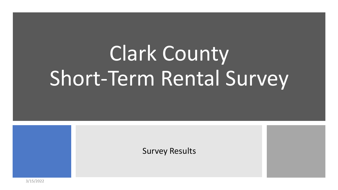# Clark County Short-Term Rental Survey

Survey Results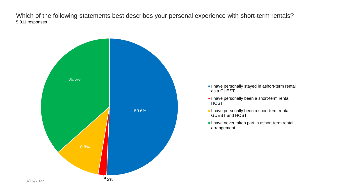Which of the following statements best describes your personal experience with short-term rentals? 5,811 responses

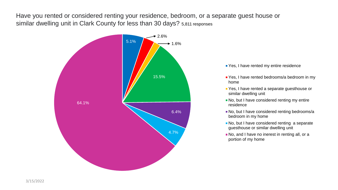Have you rented or considered renting your residence, bedroom, or a separate guest house or similar dwelling unit in Clark County for less than 30 days? 5,811 responses



- **Part Yes, I have rented my entire residence**
- Yes, I have rented bedrooms/a bedroom in my home
- **P** Yes, I have rented a separate guesthouse or similar dwelling unit
- No, but I have considered renting my entire residence
- No, but I have considered renting bedrooms/a bedroom in my home
- No, but I have considered renting a separate guesthouse or similar dwelling unit
- No, and I have no inerest in renting all, or a portion of my home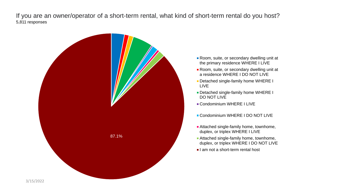If you are an owner/operator of a short-term rental, what kind of short-term rental do you host? 5,811 responses



- Room, suite, or secondary dwelling unit at the primary residence WHERE I LIVE
- Room, suite, or secondary dwelling unit at a residence WHERE I DO NOT LIVE
- **Detached single-family home WHERE I** LIVE
- **Detached single-family home WHERE I** DO NOT LIVE
- **Condominium WHERE I LIVE**
- **Condominium WHERE I DO NOT LIVE**
- **Attached single-family home, townhome,** duplex, or triplex WHERE I LIVE
- **Attached single-family home, townhome,** duplex, or triplex WHERE I DO NOT LIVE
- $\blacksquare$  I am not a short-term rental host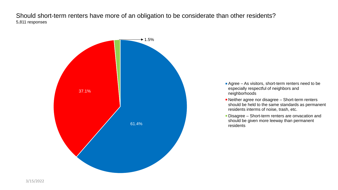Should short-term renters have more of an obligation to be considerate than other residents? 5,811 responses



- Agree As visitors, short-term renters need to be especially respectful of neighbors and neighborhoods
- Neither agree nor disagree Short-term renters should be held to the same standards as permanent residents interms of noise, trash, etc.
- Disagree Short-term renters are onvacation and should be given more leeway than permanent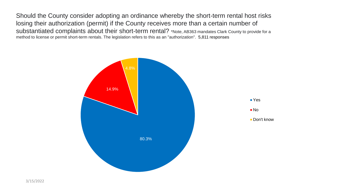Should the County consider adopting an ordinance whereby the short-term rental host risks losing their authorization (permit) if the County receives more than a certain number of substantiated complaints about their short-term rental? \*Note, AB363 mandates Clark County to provide for a method to license or permit short-term rentals. The legislation refers to this as an "authorization". 5,811 responses

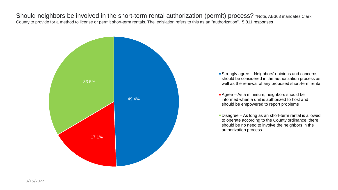Should neighbors be involved in the short-term rental authorization (permit) process? \*Note, AB363 mandates Clark County to provide for a method to license or permit short-term rentals. The legislation refers to this as an "authorization". 5,811 responses



- **Strongly agree Neighbors' opinions and concerns** should be considered in the authorization process as well as the renewal of any proposed short-term rental
- **Agree As a minimum, neighbors should be** informed when a unit is authorized to host and should be empowered to report problems
- Disagree As long as an short-term rental is allowed to operate according to the County ordinance, there should be no need to involve the neighbors in the authorization process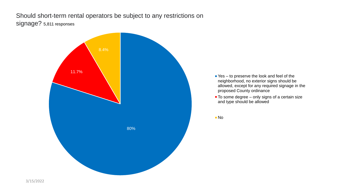Should short-term rental operators be subject to any restrictions on signage? 5,811 responses

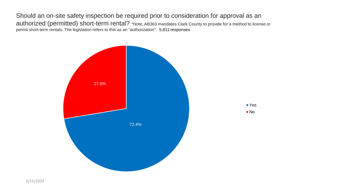Should an on-site safety inspection be required prior to consideration for approval as an authorized (permitted) short-term rental? \*Note, AB363 mandates Clark County to provide for a method to license or permit short-term rentals. The legislation refers to this as an "authorization". 5,811 responses

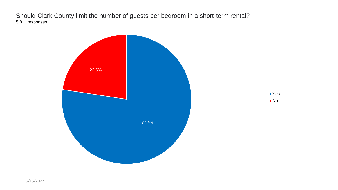Should Clark County limit the number of guests per bedroom in a short-term rental? 5,811 responses

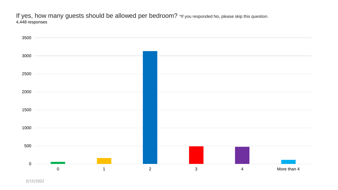If yes, how many guests should be allowed per bedroom? \*If you responded No, please skip this question. 4,448 responses

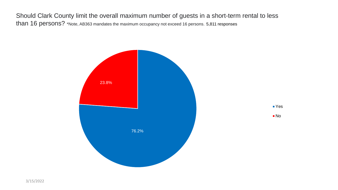Should Clark County limit the overall maximum number of guests in a short-term rental to less than 16 persons? \*Note, AB363 mandates the maximum occupancy not exceed 16 persons. 5,811 responses

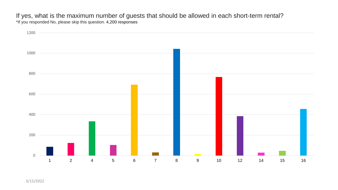If yes, what is the maximum number of guests that should be allowed in each short-term rental? \*If you responded No, please skip this question. 4,200 responses

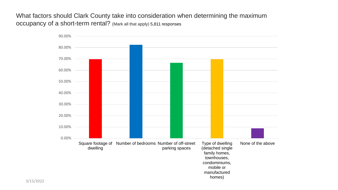What factors should Clark County take into consideration when determining the maximum occupancy of a short-term rental? (Mark all that apply) 5,811 responses

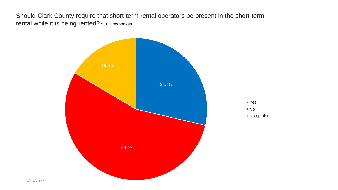Should Clark County require that short-term rental operators be present in the short-term rental while it is being rented? 5,811 responses

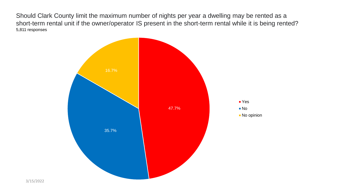Should Clark County limit the maximum number of nights per year a dwelling may be rented as a short-term rental unit if the owner/operator IS present in the short-term rental while it is being rented? 5,811 responses

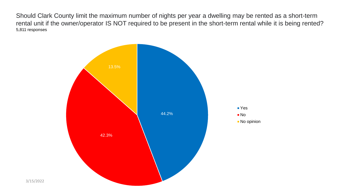Should Clark County limit the maximum number of nights per year a dwelling may be rented as a short-term rental unit if the owner/operator IS NOT required to be present in the short-term rental while it is being rented? 5,811 responses

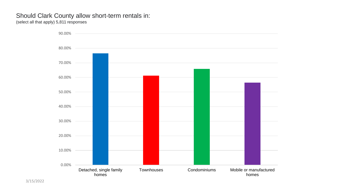## Should Clark County allow short-term rentals in:

(select all that apply) 5,811 responses

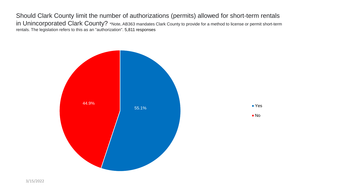Should Clark County limit the number of authorizations (permits) allowed for short-term rentals in Unincorporated Clark County? \*Note, AB363 mandates Clark County to provide for a method to license or permit short-term rentals. The legislation refers to this as an "authorization". 5,811 responses

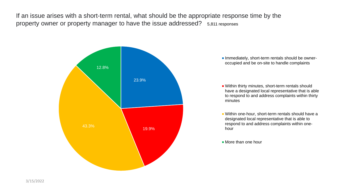If an issue arises with a short-term rental, what should be the appropriate response time by the property owner or property manager to have the issue addressed? 5,811 responses



**Immediately, short-term rentals should be owner**occupied and be on-site to handle complaints

Within thirty minutes, short-term rentals should have a designated local representative that is able to respond to and address complaints within thirty minutes

- Within one-hour, short-term rentals should have a designated local representative that is able to respond to and address complaints within onehour
- **More than one hour**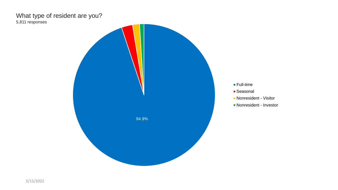### What type of resident are you? 5,811 responses



- Full-time
- Seasonal
- Nonresident Visitor
- Nonresident Investor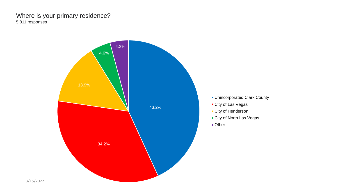#### Where is your primary residence? 5,811 responses

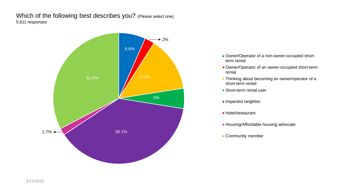#### Which of the following best describes you? (Please select one) 5,811 responses



- Owner/Operator of a non-owner-occupied shortterm rental
- **D** Owner/Operator of an owner-occupied short-term rental
- **Thinking about becoming an owner/operator of a** short-term rental
- **Short-term rental user**
- **Impacted neighbor**
- **Hotel/restaurant**
- **Housing/Affordable housing advocate**
- **Community member**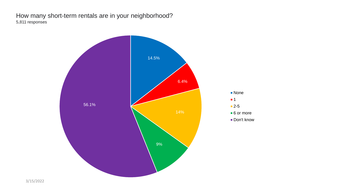#### How many short-term rentals are in your neighborhood? 5,811 responses

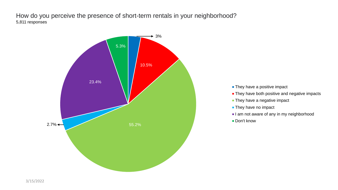How do you perceive the presence of short-term rentals in your neighborhood? 5,811 responses



- **They have a positive impact**
- **They have both positive and negative impacts**
- **They have a negative impact**
- **They have no impact**
- I am not aware of any in my neighborhood
- Don't know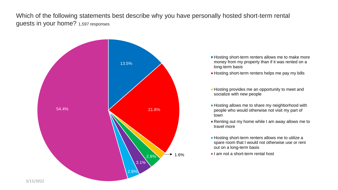Which of the following statements best describe why you have personally hosted short-term rental guests in your home? 1,597 responses



- **Hosting short-term renters allows me to make more** money from my property than if it was rented on a long-term basis
- **Hosting short-term renters helps me pay my bills**
- **Hosting provides me an opportunity to meet and** socialize with new people
- **Hosting allows me to share my neighborhood with** people who would otherwise not visit my part of town
- Renting out my home while I am away allows me to travel more
- **Hosting short-term renters allows me to utilize a** spare room that I would not otherwise use or rent out on a long-term basis
- $\blacksquare$  I am not a short-term rental host